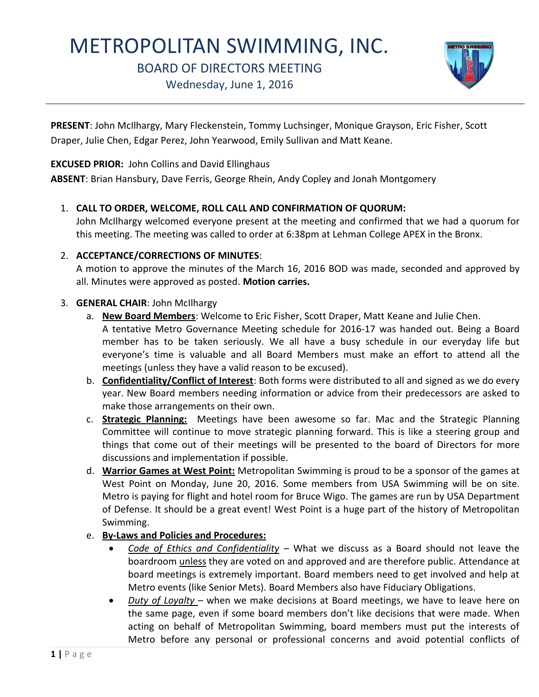# METROPOLITAN SWIMMING, INC.

BOARD OF DIRECTORS MEETING

Wednesday, June 1, 2016



**PRESENT**: John McIlhargy, Mary Fleckenstein, Tommy Luchsinger, Monique Grayson, Eric Fisher, Scott Draper, Julie Chen, Edgar Perez, John Yearwood, Emily Sullivan and Matt Keane.

**EXCUSED PRIOR:** John Collins and David Ellinghaus

**ABSENT**: Brian Hansbury, Dave Ferris, George Rhein, Andy Copley and Jonah Montgomery

# 1. **CALL TO ORDER, WELCOME, ROLL CALL AND CONFIRMATION OF QUORUM:**

John McIlhargy welcomed everyone present at the meeting and confirmed that we had a quorum for this meeting. The meeting was called to order at 6:38pm at Lehman College APEX in the Bronx.

### 2. **ACCEPTANCE/CORRECTIONS OF MINUTES**:

A motion to approve the minutes of the March 16, 2016 BOD was made, seconded and approved by all. Minutes were approved as posted. **Motion carries.**

### 3. **GENERAL CHAIR**: John McIlhargy

- a. **New Board Members**: Welcome to Eric Fisher, Scott Draper, Matt Keane and Julie Chen. A tentative Metro Governance Meeting schedule for 2016-17 was handed out. Being a Board member has to be taken seriously. We all have a busy schedule in our everyday life but everyone's time is valuable and all Board Members must make an effort to attend all the meetings (unless they have a valid reason to be excused).
- b. **Confidentiality/Conflict of Interest**: Both forms were distributed to all and signed as we do every year. New Board members needing information or advice from their predecessors are asked to make those arrangements on their own.
- c. **Strategic Planning:** Meetings have been awesome so far. Mac and the Strategic Planning Committee will continue to move strategic planning forward. This is like a steering group and things that come out of their meetings will be presented to the board of Directors for more discussions and implementation if possible.
- d. **Warrior Games at West Point:** Metropolitan Swimming is proud to be a sponsor of the games at West Point on Monday, June 20, 2016. Some members from USA Swimming will be on site. Metro is paying for flight and hotel room for Bruce Wigo. The games are run by USA Department of Defense. It should be a great event! West Point is a huge part of the history of Metropolitan Swimming.
- e. **By-Laws and Policies and Procedures:**
	- *Code of Ethics and Confidentiality* What we discuss as a Board should not leave the boardroom unless they are voted on and approved and are therefore public. Attendance at board meetings is extremely important. Board members need to get involved and help at Metro events (like Senior Mets). Board Members also have Fiduciary Obligations.
	- *Duty of Loyalty*  when we make decisions at Board meetings, we have to leave here on the same page, even if some board members don't like decisions that were made. When acting on behalf of Metropolitan Swimming, board members must put the interests of Metro before any personal or professional concerns and avoid potential conflicts of